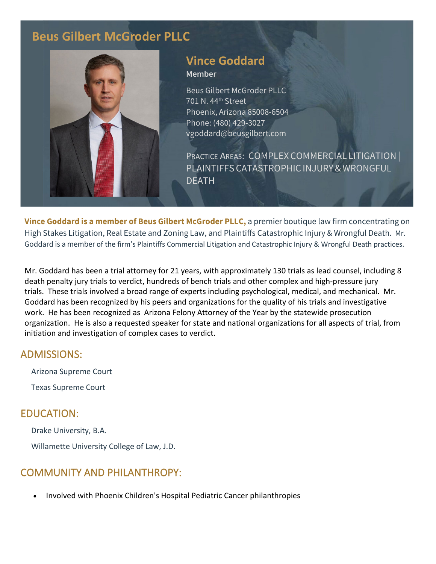# **Beus Gilbert McGroder PLLC**



#### **Vince Goddard Member**

Beus Gilbert McGroder PLLC 701 N. 44<sup>th</sup> Street Phoenix, Arizona 85008-6504 Phone: (480) 429-3027 vgoddard@beusgilbert.com

PRACTICE AREAS: COMPLEX COMMERCIAL LITIGATION| PLAINTIFFS CATASTROPHIC INJURY & WRONGFUL DEATH

**Vince Goddard is a member of Beus Gilbert McGroder PLLC,** a premier boutique law firm concentrating on High Stakes Litigation, Real Estate and Zoning Law, and Plaintiffs Catastrophic Injury & Wrongful Death. Mr. Goddard is a member of the firm's Plaintiffs Commercial Litigation and Catastrophic Injury & Wrongful Death practices.

Mr. Goddard has been a trial attorney for 21 years, with approximately 130 trials as lead counsel, including 8 death penalty jury trials to verdict, hundreds of bench trials and other complex and high-pressure jury trials. These trials involved a broad range of experts including psychological, medical, and mechanical. Mr. Goddard has been recognized by his peers and organizations for the quality of his trials and investigative work. He has been recognized as Arizona Felony Attorney of the Year by the statewide prosecution organization. He is also a requested speaker for state and national organizations for all aspects of trial, from initiation and investigation of complex cases to verdict.

#### ADMISSIONS:

Arizona Supreme Court Texas Supreme Court

### EDUCATION:

Drake University, B.A. Willamette University College of Law, J.D.

# COMMUNITY AND PHILANTHROPY:

• Involved with Phoenix Children's Hospital Pediatric Cancer philanthropies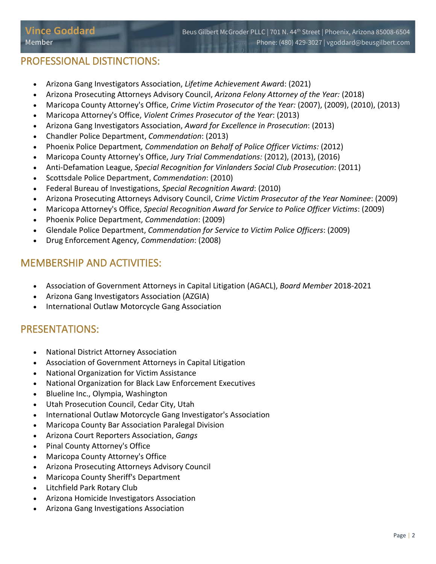# PROFESSIONAL DISTINCTIONS:

- Arizona Gang Investigators Association, *Lifetime Achievement Awar*d: (2021)
- Arizona Prosecuting Attorneys Advisory Council, *Arizona Felony Attorney of the Year:* (2018)
- Maricopa County Attorney's Office, *Crime Victim Prosecutor of the Year:* (2007), (2009), (2010), (2013)
- Maricopa Attorney's Office, *Violent Crimes Prosecutor of the Year*: (2013)
- Arizona Gang Investigators Association, *Award for Excellence in Prosecution*: (2013)
- Chandler Police Department, *Commendation*: (2013)
- Phoenix Police Department*, Commendation on Behalf of Police Officer Victims:* (2012)
- Maricopa County Attorney's Office, *Jury Trial Commendations:* (2012), (2013), (2016)
- Anti-Defamation League, *Special Recognition for Vinlanders Social Club Prosecution*: (2011)
- Scottsdale Police Department, *Commendation*: (2010)
- Federal Bureau of Investigations, *Special Recognition Award*: (2010)
- Arizona Prosecuting Attorneys Advisory Council, C*rime Victim Prosecutor of the Year Nominee*: (2009)
- Maricopa Attorney's Office, *Special Recognition Award for Service to Police Officer Victims*: (2009)
- Phoenix Police Department, *Commendation*: (2009)
- Glendale Police Department, *Commendation for Service to Victim Police Officers*: (2009)
- Drug Enforcement Agency, *Commendation*: (2008)

### MEMBERSHIP AND ACTIVITIES:

- Association of Government Attorneys in Capital Litigation (AGACL), *Board Member* 2018-2021
- Arizona Gang Investigators Association (AZGIA)
- International Outlaw Motorcycle Gang Association

### PRESENTATIONS:

- National District Attorney Association
- Association of Government Attorneys in Capital Litigation
- National Organization for Victim Assistance
- National Organization for Black Law Enforcement Executives
- Blueline Inc., Olympia, Washington
- Utah Prosecution Council, Cedar City, Utah
- International Outlaw Motorcycle Gang Investigator's Association
- Maricopa County Bar Association Paralegal Division
- Arizona Court Reporters Association, *Gangs*
- Pinal County Attorney's Office
- Maricopa County Attorney's Office
- Arizona Prosecuting Attorneys Advisory Council
- Maricopa County Sheriff's Department
- Litchfield Park Rotary Club
- Arizona Homicide Investigators Association
- Arizona Gang Investigations Association